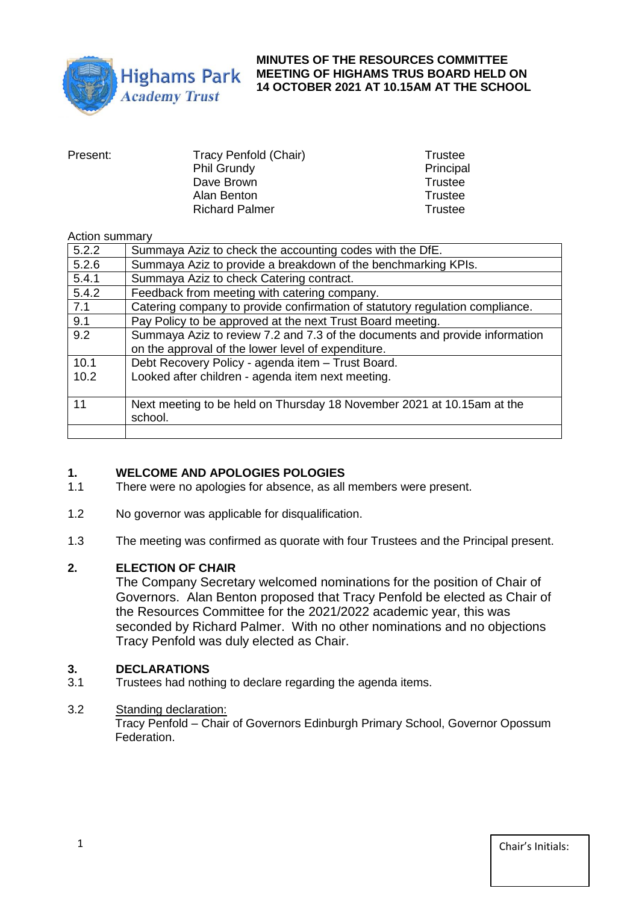

#### **MINUTES OF THE RESOURCES COMMITTEE MEETING OF HIGHAMS TRUS BOARD HELD ON 14 OCTOBER 2021 AT 10.15AM AT THE SCHOOL**

| Present: | Tracy Penfold (Chair) | Trustee        |
|----------|-----------------------|----------------|
|          | <b>Phil Grundy</b>    | Principal      |
|          | Dave Brown            | Trustee        |
|          | Alan Benton           | Trustee        |
|          | <b>Richard Palmer</b> | <b>Trustee</b> |
|          |                       |                |

#### Action summary

| 5.2.2 | Summaya Aziz to check the accounting codes with the DfE.                     |
|-------|------------------------------------------------------------------------------|
| 5.2.6 | Summaya Aziz to provide a breakdown of the benchmarking KPIs.                |
| 5.4.1 | Summaya Aziz to check Catering contract.                                     |
| 5.4.2 | Feedback from meeting with catering company.                                 |
| 7.1   | Catering company to provide confirmation of statutory regulation compliance. |
| 9.1   | Pay Policy to be approved at the next Trust Board meeting.                   |
| 9.2   | Summaya Aziz to review 7.2 and 7.3 of the documents and provide information  |
|       | on the approval of the lower level of expenditure.                           |
| 10.1  | Debt Recovery Policy - agenda item - Trust Board.                            |
| 10.2  | Looked after children - agenda item next meeting.                            |
|       |                                                                              |
| 11    | Next meeting to be held on Thursday 18 November 2021 at 10.15am at the       |
|       | school.                                                                      |
|       |                                                                              |

# **1. WELCOME AND APOLOGIES POLOGIES**

- There were no apologies for absence, as all members were present.
- 1.2 No governor was applicable for disqualification.
- 1.3 The meeting was confirmed as quorate with four Trustees and the Principal present.

#### **2. ELECTION OF CHAIR**

The Company Secretary welcomed nominations for the position of Chair of Governors. Alan Benton proposed that Tracy Penfold be elected as Chair of the Resources Committee for the 2021/2022 academic year, this was seconded by Richard Palmer. With no other nominations and no objections Tracy Penfold was duly elected as Chair.

#### **3. DECLARATIONS**

3.1 Trustees had nothing to declare regarding the agenda items.

# 3.2 Standing declaration:

Tracy Penfold – Chair of Governors Edinburgh Primary School, Governor Opossum Federation.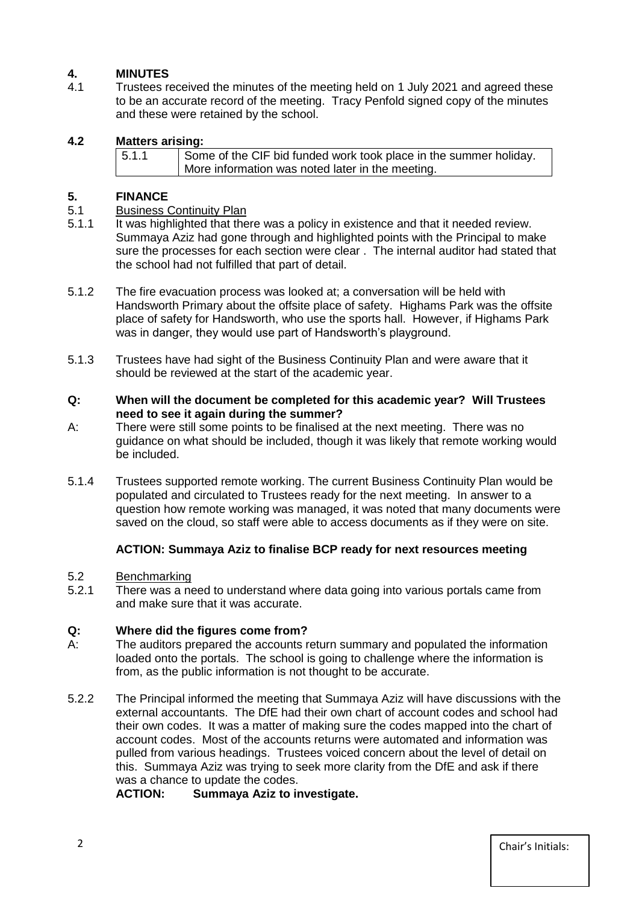# **4. MINUTES**

4.1 Trustees received the minutes of the meeting held on 1 July 2021 and agreed these to be an accurate record of the meeting. Tracy Penfold signed copy of the minutes and these were retained by the school.

## **4.2 Matters arising:**

| 5.1.1 | Some of the CIF bid funded work took place in the summer holiday. |
|-------|-------------------------------------------------------------------|
|       | More information was noted later in the meeting.                  |

## **5. FINANCE**

#### 5.1 Business Continuity Plan

- 5.1.1 It was highlighted that there was a policy in existence and that it needed review. Summaya Aziz had gone through and highlighted points with the Principal to make sure the processes for each section were clear . The internal auditor had stated that the school had not fulfilled that part of detail.
- 5.1.2 The fire evacuation process was looked at; a conversation will be held with Handsworth Primary about the offsite place of safety. Highams Park was the offsite place of safety for Handsworth, who use the sports hall. However, if Highams Park was in danger, they would use part of Handsworth's playground.
- 5.1.3 Trustees have had sight of the Business Continuity Plan and were aware that it should be reviewed at the start of the academic year.
- **Q: When will the document be completed for this academic year? Will Trustees need to see it again during the summer?**
- A: There were still some points to be finalised at the next meeting. There was no guidance on what should be included, though it was likely that remote working would be included.
- 5.1.4 Trustees supported remote working. The current Business Continuity Plan would be populated and circulated to Trustees ready for the next meeting. In answer to a question how remote working was managed, it was noted that many documents were saved on the cloud, so staff were able to access documents as if they were on site.

#### **ACTION: Summaya Aziz to finalise BCP ready for next resources meeting**

#### 5.2 Benchmarking

5.2.1 There was a need to understand where data going into various portals came from and make sure that it was accurate.

# **Q: Where did the figures come from?**

- A: The auditors prepared the accounts return summary and populated the information loaded onto the portals. The school is going to challenge where the information is from, as the public information is not thought to be accurate.
- 5.2.2 The Principal informed the meeting that Summaya Aziz will have discussions with the external accountants. The DfE had their own chart of account codes and school had their own codes. It was a matter of making sure the codes mapped into the chart of account codes. Most of the accounts returns were automated and information was pulled from various headings. Trustees voiced concern about the level of detail on this. Summaya Aziz was trying to seek more clarity from the DfE and ask if there was a chance to update the codes.

**ACTION: Summaya Aziz to investigate.**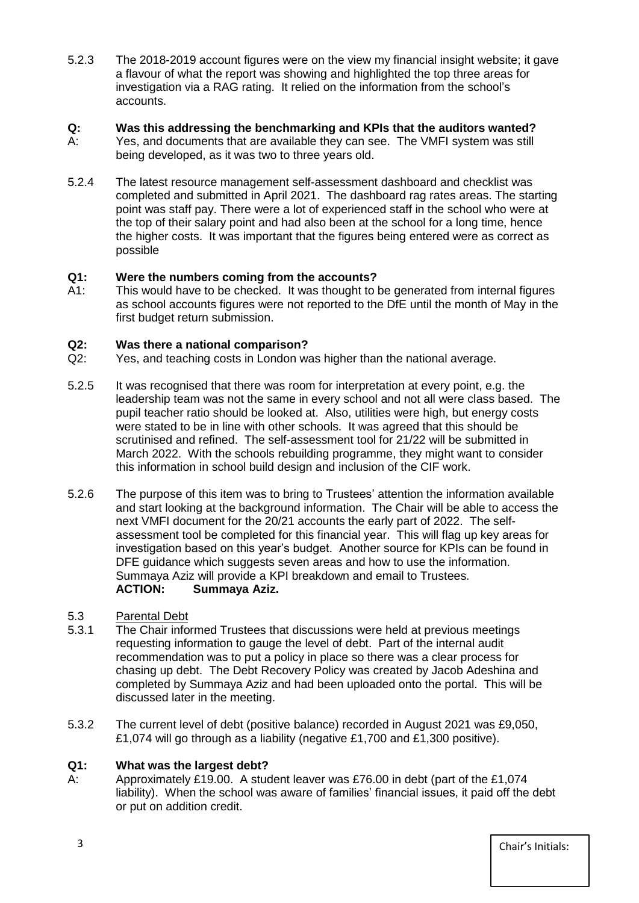5.2.3 The 2018-2019 account figures were on the view my financial insight website; it gave a flavour of what the report was showing and highlighted the top three areas for investigation via a RAG rating. It relied on the information from the school's accounts.

# **Q: Was this addressing the benchmarking and KPIs that the auditors wanted?**

- A: Yes, and documents that are available they can see. The VMFI system was still being developed, as it was two to three years old.
- 5.2.4 The latest resource management self-assessment dashboard and checklist was completed and submitted in April 2021. The dashboard rag rates areas. The starting point was staff pay. There were a lot of experienced staff in the school who were at the top of their salary point and had also been at the school for a long time, hence the higher costs. It was important that the figures being entered were as correct as possible

# **Q1: Were the numbers coming from the accounts?**

A1: This would have to be checked. It was thought to be generated from internal figures as school accounts figures were not reported to the DfE until the month of May in the first budget return submission.

# **Q2: Was there a national comparison?**

- Q2: Yes, and teaching costs in London was higher than the national average.
- 5.2.5 It was recognised that there was room for interpretation at every point, e.g. the leadership team was not the same in every school and not all were class based. The pupil teacher ratio should be looked at. Also, utilities were high, but energy costs were stated to be in line with other schools. It was agreed that this should be scrutinised and refined. The self-assessment tool for 21/22 will be submitted in March 2022. With the schools rebuilding programme, they might want to consider this information in school build design and inclusion of the CIF work.
- 5.2.6 The purpose of this item was to bring to Trustees' attention the information available and start looking at the background information. The Chair will be able to access the next VMFI document for the 20/21 accounts the early part of 2022. The selfassessment tool be completed for this financial year. This will flag up key areas for investigation based on this year's budget. Another source for KPIs can be found in DFE guidance which suggests seven areas and how to use the information. Summaya Aziz will provide a KPI breakdown and email to Trustees. **ACTION: Summaya Aziz.**

# 5.3 Parental Debt

- 5.3.1 The Chair informed Trustees that discussions were held at previous meetings requesting information to gauge the level of debt. Part of the internal audit recommendation was to put a policy in place so there was a clear process for chasing up debt. The Debt Recovery Policy was created by Jacob Adeshina and completed by Summaya Aziz and had been uploaded onto the portal. This will be discussed later in the meeting.
- 5.3.2 The current level of debt (positive balance) recorded in August 2021 was £9,050, £1,074 will go through as a liability (negative £1,700 and £1,300 positive).

# **Q1: What was the largest debt?**

A: Approximately £19.00. A student leaver was £76.00 in debt (part of the £1,074 liability). When the school was aware of families' financial issues, it paid off the debt or put on addition credit.

3 Chair's Initials: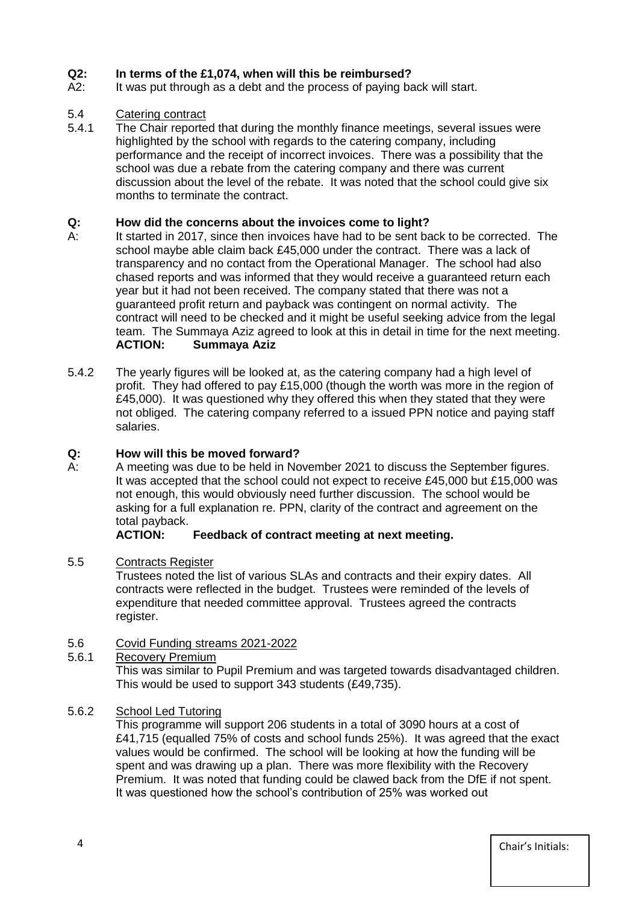# **Q2: In terms of the £1,074, when will this be reimbursed?**

A2: It was put through as a debt and the process of paying back will start.

# 5.4 Catering contract

5.4.1 The Chair reported that during the monthly finance meetings, several issues were highlighted by the school with regards to the catering company, including performance and the receipt of incorrect invoices. There was a possibility that the school was due a rebate from the catering company and there was current discussion about the level of the rebate. It was noted that the school could give six months to terminate the contract.

### **Q: How did the concerns about the invoices come to light?**

- A: It started in 2017, since then invoices have had to be sent back to be corrected. The school maybe able claim back £45,000 under the contract. There was a lack of transparency and no contact from the Operational Manager. The school had also chased reports and was informed that they would receive a guaranteed return each year but it had not been received. The company stated that there was not a guaranteed profit return and payback was contingent on normal activity. The contract will need to be checked and it might be useful seeking advice from the legal team. The Summaya Aziz agreed to look at this in detail in time for the next meeting. **ACTION: Summaya Aziz**
- 5.4.2 The yearly figures will be looked at, as the catering company had a high level of profit. They had offered to pay £15,000 (though the worth was more in the region of  $£45,000$ . It was questioned why they offered this when they stated that they were not obliged. The catering company referred to a issued PPN notice and paying staff salaries.

#### **Q: How will this be moved forward?**

A: A meeting was due to be held in November 2021 to discuss the September figures. It was accepted that the school could not expect to receive £45,000 but £15,000 was not enough, this would obviously need further discussion. The school would be asking for a full explanation re. PPN, clarity of the contract and agreement on the total payback.<br>**ACTION:** 

#### **Feedback of contract meeting at next meeting.**

#### 5.5 Contracts Register

Trustees noted the list of various SLAs and contracts and their expiry dates. All contracts were reflected in the budget. Trustees were reminded of the levels of expenditure that needed committee approval. Trustees agreed the contracts register.

#### 5.6 Covid Funding streams 2021-2022

5.6.1 Recovery Premium

This was similar to Pupil Premium and was targeted towards disadvantaged children. This would be used to support 343 students (£49,735).

#### 5.6.2 School Led Tutoring

This programme will support 206 students in a total of 3090 hours at a cost of £41,715 (equalled 75% of costs and school funds 25%). It was agreed that the exact values would be confirmed. The school will be looking at how the funding will be spent and was drawing up a plan. There was more flexibility with the Recovery Premium. It was noted that funding could be clawed back from the DfE if not spent. It was questioned how the school's contribution of 25% was worked out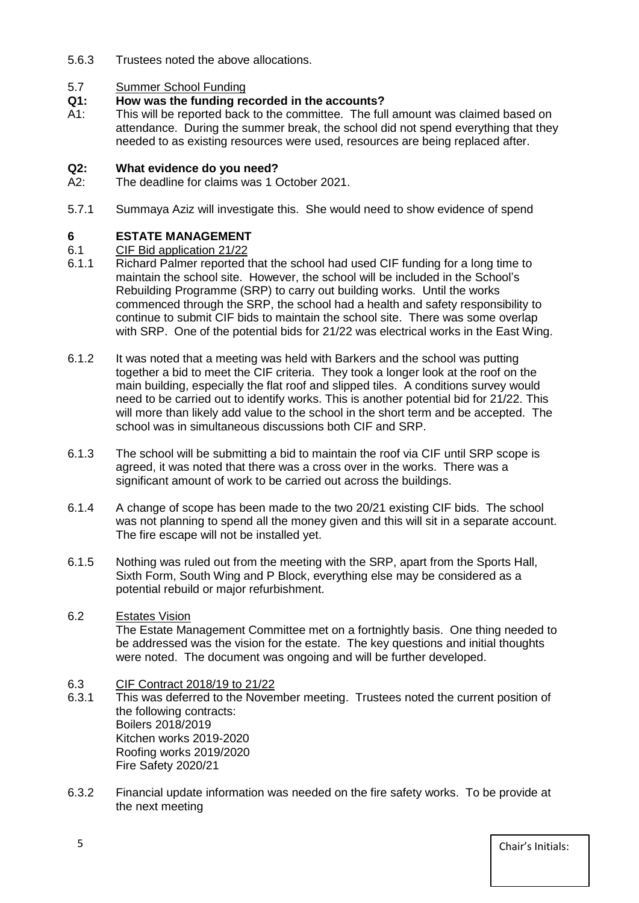5.6.3 Trustees noted the above allocations.

# 5.7 Summer School Funding<br> **Q1:** How was the funding re

# **Q1: How was the funding recorded in the accounts?**

A1: This will be reported back to the committee. The full amount was claimed based on attendance. During the summer break, the school did not spend everything that they needed to as existing resources were used, resources are being replaced after.

#### **Q2: What evidence do you need?**

- A2: The deadline for claims was 1 October 2021.
- 5.7.1 Summaya Aziz will investigate this. She would need to show evidence of spend

# **6 ESTATE MANAGEMENT**

- 6.1 CIF Bid application 21/22
- 6.1.1 Richard Palmer reported that the school had used CIF funding for a long time to maintain the school site. However, the school will be included in the School's Rebuilding Programme (SRP) to carry out building works. Until the works commenced through the SRP, the school had a health and safety responsibility to continue to submit CIF bids to maintain the school site. There was some overlap with SRP. One of the potential bids for 21/22 was electrical works in the East Wing.
- 6.1.2 It was noted that a meeting was held with Barkers and the school was putting together a bid to meet the CIF criteria. They took a longer look at the roof on the main building, especially the flat roof and slipped tiles. A conditions survey would need to be carried out to identify works. This is another potential bid for 21/22. This will more than likely add value to the school in the short term and be accepted. The school was in simultaneous discussions both CIF and SRP.
- 6.1.3 The school will be submitting a bid to maintain the roof via CIF until SRP scope is agreed, it was noted that there was a cross over in the works. There was a significant amount of work to be carried out across the buildings.
- 6.1.4 A change of scope has been made to the two 20/21 existing CIF bids. The school was not planning to spend all the money given and this will sit in a separate account. The fire escape will not be installed yet.
- 6.1.5 Nothing was ruled out from the meeting with the SRP, apart from the Sports Hall, Sixth Form, South Wing and P Block, everything else may be considered as a potential rebuild or major refurbishment.

# 6.2 Estates Vision

The Estate Management Committee met on a fortnightly basis. One thing needed to be addressed was the vision for the estate. The key questions and initial thoughts were noted. The document was ongoing and will be further developed.

#### 6.3 CIF Contract 2018/19 to 21/22

- 6.3.1 This was deferred to the November meeting. Trustees noted the current position of the following contracts: Boilers 2018/2019 Kitchen works 2019-2020 Roofing works 2019/2020 Fire Safety 2020/21
- 6.3.2 Financial update information was needed on the fire safety works. To be provide at the next meeting

5 Chair's Initials: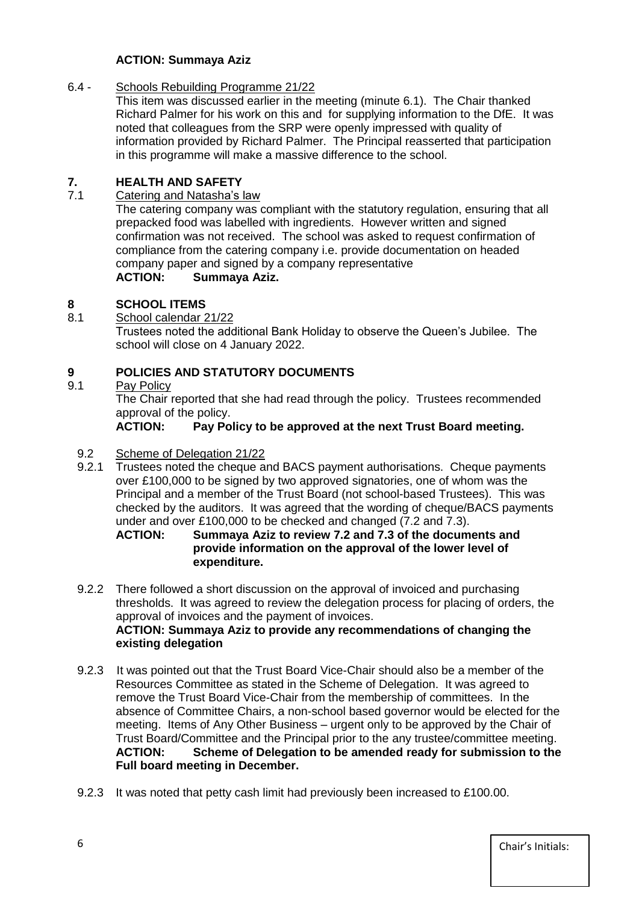# **ACTION: Summaya Aziz**

# 6.4 - Schools Rebuilding Programme 21/22

This item was discussed earlier in the meeting (minute 6.1). The Chair thanked Richard Palmer for his work on this and for supplying information to the DfE. It was noted that colleagues from the SRP were openly impressed with quality of information provided by Richard Palmer. The Principal reasserted that participation in this programme will make a massive difference to the school.

# **7. HEALTH AND SAFETY**

Catering and Natasha's law

The catering company was compliant with the statutory regulation, ensuring that all prepacked food was labelled with ingredients. However written and signed confirmation was not received. The school was asked to request confirmation of compliance from the catering company i.e. provide documentation on headed company paper and signed by a company representative **ACTION: Summaya Aziz.**

# **8 SCHOOL ITEMS**

8.1 School calendar 21/22

Trustees noted the additional Bank Holiday to observe the Queen's Jubilee. The school will close on 4 January 2022.

# **9 POLICIES AND STATUTORY DOCUMENTS**

9.1 Pay Policy

The Chair reported that she had read through the policy. Trustees recommended approval of the policy.

**ACTION: Pay Policy to be approved at the next Trust Board meeting.** 

#### 9.2 Scheme of Delegation 21/22

9.2.1 Trustees noted the cheque and BACS payment authorisations. Cheque payments over £100,000 to be signed by two approved signatories, one of whom was the Principal and a member of the Trust Board (not school-based Trustees). This was checked by the auditors. It was agreed that the wording of cheque/BACS payments under and over £100,000 to be checked and changed  $(7.2 \text{ and } 7.3)$ .<br>ACTION: Summava Aziz to review 7.2 and 7.3 of the docum

**ACTION: Summaya Aziz to review 7.2 and 7.3 of the documents and provide information on the approval of the lower level of expenditure.**

- 9.2.2 There followed a short discussion on the approval of invoiced and purchasing thresholds. It was agreed to review the delegation process for placing of orders, the approval of invoices and the payment of invoices. **ACTION: Summaya Aziz to provide any recommendations of changing the existing delegation**
- 9.2.3 It was pointed out that the Trust Board Vice-Chair should also be a member of the Resources Committee as stated in the Scheme of Delegation. It was agreed to remove the Trust Board Vice-Chair from the membership of committees. In the absence of Committee Chairs, a non-school based governor would be elected for the meeting. Items of Any Other Business – urgent only to be approved by the Chair of Trust Board/Committee and the Principal prior to the any trustee/committee meeting. **ACTION: Scheme of Delegation to be amended ready for submission to the Full board meeting in December.**
- 9.2.3 It was noted that petty cash limit had previously been increased to £100.00.